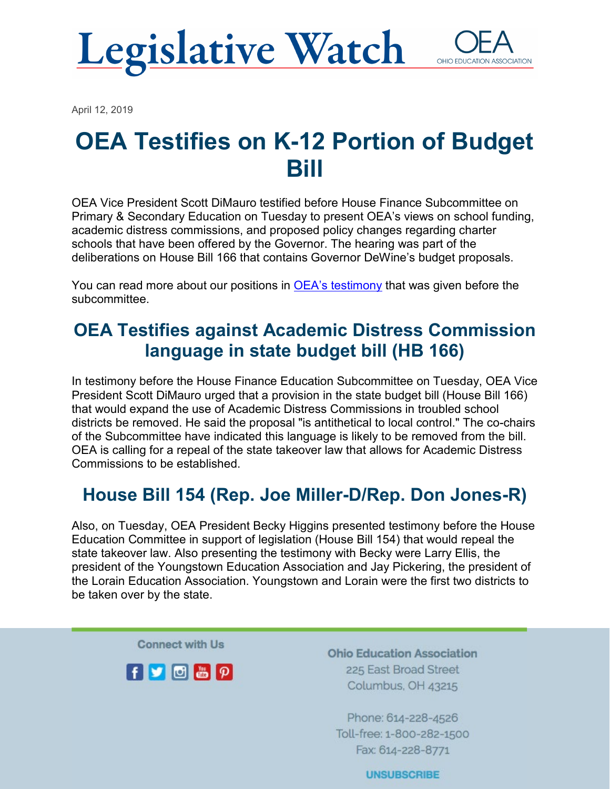



April 12, 2019

## **OEA Testifies on K-12 Portion of Budget Bill**

OEA Vice President Scott DiMauro testified before House Finance Subcommittee on Primary & Secondary Education on Tuesday to present OEA's views on school funding, academic distress commissions, and proposed policy changes regarding charter schools that have been offered by the Governor. The hearing was part of the deliberations on House Bill 166 that contains Governor DeWine's budget proposals.

You can read more about our positions in [OEA's testimony](https://www.ohea.org/cms/assets/uploads/2019/04/OEA-HB-166-Testimony.pdf) that was given before the subcommittee.

## **OEA Testifies against Academic Distress Commission language in state budget bill (HB 166)**

In testimony before the House Finance Education Subcommittee on Tuesday, OEA Vice President Scott DiMauro urged that a provision in the state budget bill (House Bill 166) that would expand the use of Academic Distress Commissions in troubled school districts be removed. He said the proposal "is antithetical to local control." The co-chairs of the Subcommittee have indicated this language is likely to be removed from the bill. OEA is calling for a repeal of the state takeover law that allows for Academic Distress Commissions to be established.

## **House Bill 154 (Rep. Joe Miller-D/Rep. Don Jones-R)**

Also, on Tuesday, OEA President Becky Higgins presented testimony before the House Education Committee in support of legislation (House Bill 154) that would repeal the state takeover law. Also presenting the testimony with Becky were Larry Ellis, the president of the Youngstown Education Association and Jay Pickering, the president of the Lorain Education Association. Youngstown and Lorain were the first two districts to be taken over by the state.

**Connect with Us** 



**Ohio Education Association** 225 East Broad Street Columbus, OH 43215

Phone: 614-228-4526 Toll-free: 1-800-282-1500 Fax: 614-228-8771

**UNSUBSCRIBE**